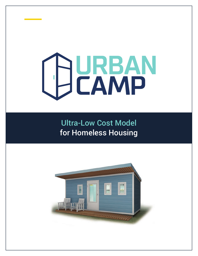# **URBAN CAMP**

**URBAN CAMP**

Ultra-Low Cost Model for Homeless Housing

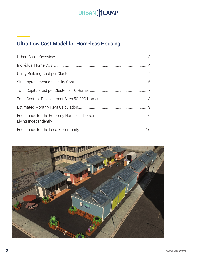

## Ultra-Low Cost Model for Homeless Housing

| Living Independently |  |
|----------------------|--|
|                      |  |

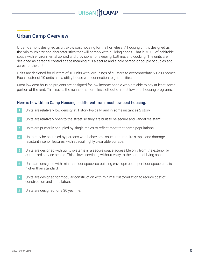

## Urban Camp Overview

Urban Camp is designed as ultra-low cost housing for the homeless. A housing unit is designed as the minimum size and characteristics that will comply with building codes. That is 70 SF of habitable space with environmental control and provisions for sleeping, bathing, and cooking. The units are designed as personal control space meaning it is a secure and single person or couple occupies and cares for the unit.

Units are designed for clusters of 10 units with groupings of clusters to accommodate 50-200 homes. Each cluster of 10 units has a utility house with connection to grid utilities.

Most low cost housing projects are designed for low income people who are able to pay at least some portion of the rent. This leaves the no-income homeless left out of most low cost housing programs.

#### Here is how Urban Camp Housing is different from most low cost housing:

- Units are relatively low density at 1 story typically, and in some instances 2 story.
- Units are relatively open to the street so they are built to be secure and vandal resistant. **2**
- Units are primarily occupied by single males to reflect most tent camp populations.
- Units may be occupied by persons with behavioral issues that require simple and damage resistant interior features, with special highly cleanable surface. **4**
- Units are designed with utility systems in a secure space accessible only from the exterior by authorized service people. This allows servicing without entry to the personal living space. **5**
- Units are designed with minimal floor space, so building envelope costs per floor space area is higher than standard. **6**
- Units are designed for modular construction with minimal customization to reduce cost of construction and installation. **7**
- Units are designed for a 30 year life. **8**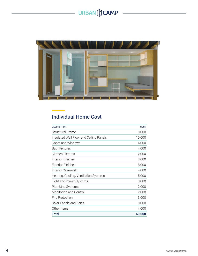# $-$  URBAN  $\bigoplus$  **CAMP**

 $\overline{a}$ 



## Individual Home Cost

| <b>DESCRIPTION</b>                      | COST   |
|-----------------------------------------|--------|
| <b>Structural Frame</b>                 | 3,000  |
| Insulated Wall Floor and Ceiling Panels | 10,000 |
| Doors and Windows                       | 4,000  |
| <b>Bath Fixtures</b>                    | 4,000  |
| Kitchen Fixtures                        | 2,000  |
| Interior Finishes                       | 3,000  |
| <b>Exterior Finishes</b>                | 8,000  |
| <b>Interior Casework</b>                | 4,000  |
| Heating, Cooling, Ventilation Systems   | 5,000  |
| Light and Power Systems                 | 3,000  |
| <b>Plumbing Systems</b>                 | 2,000  |
| Monitoring and Control                  | 2,000  |
| <b>Fire Protection</b>                  | 3,000  |
| Solar Panels and Parts                  | 3,000  |
| Other Items                             | 4,000  |
| <b>Total</b>                            | 60,000 |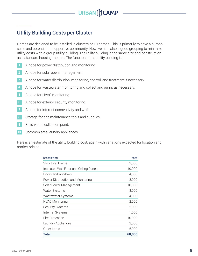

#### **CAMP** Utility Building Costs per Cluster

Homes are designed to be installed in clusters or 10 homes. This is primarily to have a human scale and potential for supportive community. However it is also a good grouping to minimize utility costs with a group utility building. The utility building is the same size and construction as a standard housing module. The function of the utility building is:

- A node for power distribution and monitoring.
- A node for solar power management. **2**
- 3. A node for water distribution, monitoring, control, and treatment if necessary.
- 4. A node for wastewater monitoring and collect and pump as necessary. **4**
- 5. A node for HVAC monitoring. **5**
- 6. A node for exterior security monitoring. **6**
- A node for internet connectivity and wi-fi. **7**
- Storage for site maintenance tools and supplies. **8**
- Solid waste collection point.
- Common area laundry appliances **10**

Here is an estimate of the utility building cost, again with variations expected for location and market pricing:

| <b>DESCRIPTION</b>                      | COST   |
|-----------------------------------------|--------|
| Structural Frame                        | 3,000  |
| Insulated Wall Floor and Ceiling Panels | 10,000 |
| Doors and Windows                       | 4,000  |
| Power Distribution and Monitoring       | 3,000  |
| Solar Power Management                  | 10,000 |
| Water Systems                           | 3,000  |
| Wastewater Systems                      | 4,000  |
| <b>HVAC Monitoring</b>                  | 2,000  |
| <b>Security Systems</b>                 | 2,000  |
| Internet Systems                        | 1,000  |
| Fire Protection                         | 10,000 |
| Laundry Appliances                      | 2,000  |
| Other Items                             | 6,000  |
| <b>Total</b>                            | 60,000 |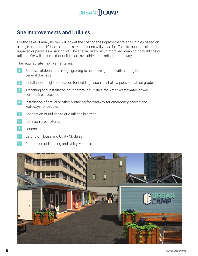

## Site Improvements and Utilities

For the sake of analysis, we will look at the cost of site improvements and Utilities based on a single cluster of 10 homes. Initial site conditions will vary a lot. The site could be clean but unpaved or paved as a parking lot. The site will likely be unimproved meaning no buildings or utilities. We will assume that utilities are available in the adjacent roadway.

The required site improvements are:

- Removal of debris and rough grading to near level ground with sloping for general drainage.
- Installation of light foundation for buildings such as shallow piers or slab on grade. **2**
- 3. Trenching and installation of underground utilities for water, wastewater, power, control, fire protection **3**
- Installation of gravel or other surfacing for roadway for emergency access and walkways for people. **4**
- 5. Connection of utilities to grid utilities in street.
- Common area fixtures
- Landscaping **7**
- Setting of House and Utility Modules **8**
- 9. Connection of Housing and Utility Modules **9**

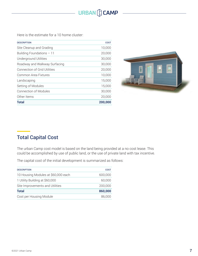## **URBAN CCAMP**

Here is the estimate for a 10 home cluster:

| <b>DESCRIPTION</b>                  | COST    |
|-------------------------------------|---------|
| Site Cleanup and Grading            | 10,000  |
| Building Foundations $-11$          | 20,000  |
| Underground Utilities               | 30,000  |
| Roadway and Walkway Surfacing       | 30,000  |
| <b>Connection of Grid Utilities</b> | 20,000  |
| Common Area Fixtures                | 10,000  |
| Landscaping                         | 15,000  |
| Setting of Modules                  | 15,000  |
| Connection of Modules               | 30,000  |
| Other Items                         | 20,000  |
| <b>Total</b>                        | 200,000 |



## Total Capital Cost

The urban Camp cost model is based on the land being provided at a no cost lease. This could be accomplished by use of public land, or the use of private land with tax incentive.

The capital cost of the initial development is summarized as follows:

| <b>DESCRIPTION</b>                  | COST    |
|-------------------------------------|---------|
| 10 Housing Modules at \$60,000 each | 600,000 |
| 1 Utility Building at \$60,000      | 60,000  |
| Site Improvements and Utilities     | 200,000 |
| <b>Total</b>                        | 860,000 |
| Cost per Housing Module             | 86,000  |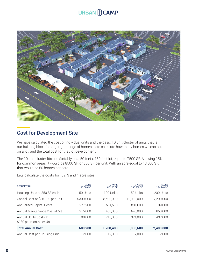# **URBAN CCAMP**



## Cost for Development Site

We have calculated the cost of individual units and the basic 10 unit cluster of units that is our building block for larger groupings of homes. Lets calculate how many homes we can put on a lot, and the total cost for that lot development.

The 10 unit cluster fits comfortably on a 50 feet x 150 feet lot, equal to 7500 SF. Allowing 15% for common areas, it would be 8500 SF, or 850 SF per unit. With an acre equal to 43,560 SF, that would be 50 homes per acre.

Lets calculate the costs for 1, 2, 3 and 4 acre sites:

| <b>DESCRIPTION</b>                                  | 1 ACRE<br>43.560 SF | 2 ACRE<br>87,120 SF | 3 ACRE<br>130,680 SF | 4 ACRE<br>174.240 SF |
|-----------------------------------------------------|---------------------|---------------------|----------------------|----------------------|
| Housing Units at 850 SF each                        | 50 Units            | 100 Units           | 150 Units            | 200 Units            |
| Capital Cost at \$86,000 per Unit                   | 4,300,000           | 8.600.000           | 12,900,000           | 17,200,000           |
| <b>Annualized Capital Costs</b>                     | 277,200             | 554,500             | 831,600              | 1,109,000            |
| Annual Maintenance Cost at 5%                       | 215,000             | 430,000             | 645,000              | 860,000              |
| Annual Utility Costs at<br>\$180 per month per Unit | 108,000             | 216,000             | 324,000              | 432,000              |
| <b>Total Annual Cost</b>                            | 600,200             | 1,200,400           | 1,800,600            | 2,400,800            |
| Annual Cost per Housing Unit                        | 12,000              | 12.000              | 12,000               | 12,000               |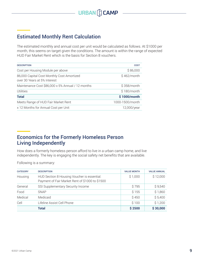## **CAMP** Estimated Monthly Rent Calculation

The estimated monthly and annual cost per unit would be calculated as follows. At \$1000 per month, this seems on target given the conditions. The amount is within the range of expected HUD Fair Market Rent which is the basis for Section 8 vouchers.

| <b>DESCRIPTION</b>                                                         | COST            |
|----------------------------------------------------------------------------|-----------------|
| Cost per Housing Module per above                                          | \$86,000        |
| 86,000 Capital Cost Monthly Cost Amortized<br>over 30 Years at 5% Interest | $$462/m$ onth   |
| Maintenance Cost \$86,000 x 5% Annual / 12 months                          | \$358/month     |
| Utilities                                                                  | \$180/month     |
| <b>Total</b>                                                               | \$1000/month    |
| Meets Range of HUD Fair Market Rent                                        | 1000-1500/month |
| x 12 Months for Annual Cost per Unit                                       | 12,000/year     |
|                                                                            |                 |

## Economics for the Formerly Homeless Person Living Independently

How does a formerly homeless person afford to live in a urban camp home, and live independently. The key is engaging the social safety net benefits that are available.

Following is a summary:

| <b>CATEGORY</b> | <b>DESCRIPTION</b>                                                                             | <b>VALUE MONTH</b> | <b>VALUE ANNUAL</b> |
|-----------------|------------------------------------------------------------------------------------------------|--------------------|---------------------|
| Housing         | HUD Section 8 Housing Voucher is essential.<br>Payment of Fair Market Rent of \$1000 to \$1500 | \$1,000            | \$12,000            |
| General         | SSI Supplementary Security Income                                                              | S 795              | \$9,540             |
| Food            | <b>SNAP</b>                                                                                    | S 155              | \$1,860             |
| Medical         | Medicaid                                                                                       | \$450              | \$5,400             |
| Cell            | Lifeline Assist Cell Phone                                                                     | \$100              | \$1,200             |
|                 | <b>Total</b>                                                                                   | \$2500             | \$30,000            |